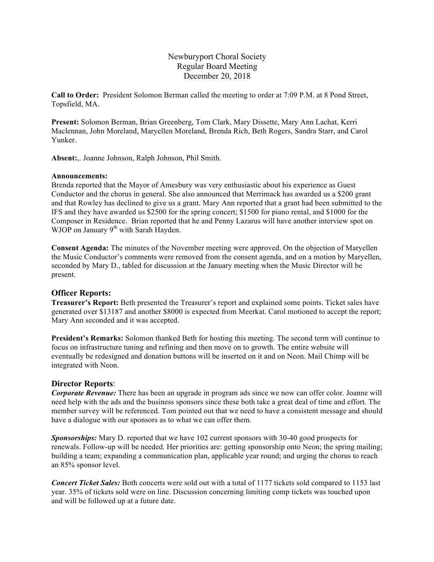Newburyport Choral Society Regular Board Meeting December 20, 2018

**Call to Order:** President Solomon Berman called the meeting to order at 7:09 P.M. at 8 Pond Street, Topsfield, MA.

**Present:** Solomon Berman, Brian Greenberg, Tom Clark, Mary Dissette, Mary Ann Lachat, Kerri Maclennan, John Moreland, Maryellen Moreland, Brenda Rich, Beth Rogers, Sandra Starr, and Carol Yunker.

**Absent:**,. Joanne Johnson, Ralph Johnson, Phil Smith.

#### **Announcements:**

Brenda reported that the Mayor of Amesbury was very enthusiastic about his experience as Guest Conductor and the chorus in general. She also announced that Merrimack has awarded us a \$200 grant and that Rowley has declined to give us a grant. Mary Ann reported that a grant had been submitted to the IFS and they have awarded us \$2500 for the spring concert; \$1500 for piano rental, and \$1000 for the Composer in Residence. Brian reported that he and Penny Lazarus will have another interview spot on WJOP on January  $9<sup>th</sup>$  with Sarah Hayden.

**Consent Agenda:** The minutes of the November meeting were approved. On the objection of Maryellen the Music Conductor's comments were removed from the consent agenda, and on a motion by Maryellen, seconded by Mary D., tabled for discussion at the January meeting when the Music Director will be present.

### **Officer Reports:**

**Treasurer's Report:** Beth presented the Treasurer's report and explained some points. Ticket sales have generated over \$13187 and another \$8000 is expected from Meerkat. Carol motioned to accept the report; Mary Ann seconded and it was accepted.

**President's Remarks:** Solomon thanked Beth for hosting this meeting. The second term will continue to focus on infrastructure tuning and refining and then move on to growth. The entire website will eventually be redesigned and donation buttons will be inserted on it and on Neon. Mail Chimp will be integrated with Neon.

### **Director Reports**:

*Corporate Revenue:* There has been an upgrade in program ads since we now can offer color. Joanne will need help with the ads and the business sponsors since these both take a great deal of time and effort. The member survey will be referenced. Tom pointed out that we need to have a consistent message and should have a dialogue with our sponsors as to what we can offer them.

*Sponsorships:* Mary D. reported that we have 102 current sponsors with 30-40 good prospects for renewals. Follow-up will be needed. Her priorities are: getting sponsorship onto Neon; the spring mailing; building a team; expanding a communication plan, applicable year round; and urging the chorus to reach an 85% sponsor level.

*Concert Ticket Sales:* Both concerts were sold out with a total of 1177 tickets sold compared to 1153 last year. 35% of tickets sold were on line. Discussion concerning limiting comp tickets was touched upon and will be followed up at a future date.